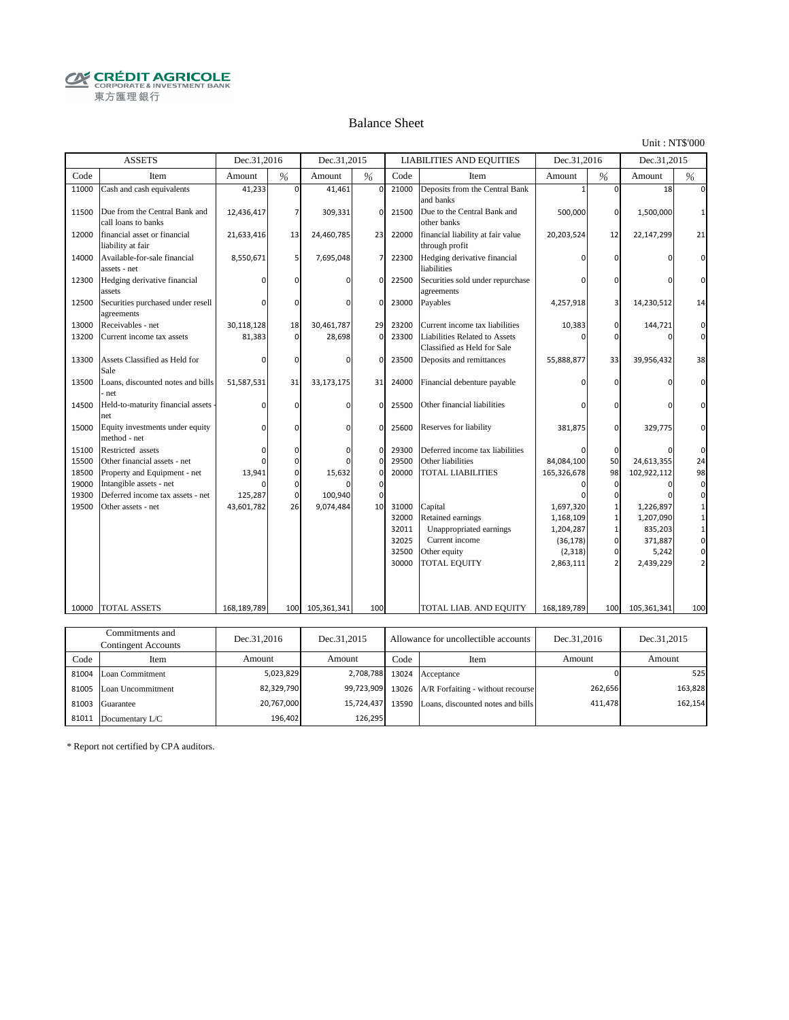**CRÉDIT AGRICOLE** 東方匯理銀行

#### Balance Sheet

Unit : NT\$'000

|       | <b>ASSETS</b>                                        | Dec.31,2016 |               | Dec.31,2015  |                |       | <b>LIABILITIES AND EQUITIES</b>                              | Dec.31,2016 |          | Dec.31,2015 |          |
|-------|------------------------------------------------------|-------------|---------------|--------------|----------------|-------|--------------------------------------------------------------|-------------|----------|-------------|----------|
| Code  | Item                                                 | Amount      | $\frac{0}{6}$ | Amount       | %              | Code  | Item                                                         | Amount      | %        | Amount      | $\%$     |
| 11000 | Cash and cash equivalents                            | 41,233      | $\mathbf 0$   | 41,461       | $\mathbf 0$    | 21000 | Deposits from the Central Bank<br>and banks                  |             | $\Omega$ | 18          |          |
| 11500 | Due from the Central Bank and<br>call loans to banks | 12,436,417  | 7             | 309,331      | $\Omega$       | 21500 | Due to the Central Bank and<br>other banks                   | 500,000     | 0        | 1,500,000   |          |
| 12000 | financial asset or financial<br>liability at fair    | 21,633,416  | 13            | 24,460,785   | 23             | 22000 | financial liability at fair value<br>through profit          | 20,203,524  | 12       | 22,147,299  | 21       |
| 14000 | Available-for-sale financial<br>assets - net         | 8,550,671   | 5             | 7,695,048    | $\overline{7}$ | 22300 | Hedging derivative financial<br>liabilities                  |             |          |             |          |
| 12300 | Hedging derivative financial<br>assets               |             |               |              | $\Omega$       | 22500 | Securities sold under repurchase<br>agreements               |             |          |             | O        |
| 12500 | Securities purchased under resell<br>agreements      | n           | <sup>0</sup>  |              | $\Omega$       | 23000 | Payables                                                     | 4,257,918   |          | 14,230,512  | 14       |
| 13000 | Receivables - net                                    | 30,118,128  | 18            | 30,461,787   | 29             | 23200 | Current income tax liabilities                               | 10,383      | 0        | 144,721     | $\Omega$ |
| 13200 | Current income tax assets                            | 81,383      | $\mathbf 0$   | 28,698       | $\mathbf 0$    | 23300 | Liabilities Related to Assets<br>Classified as Held for Sale |             | O        | n           | $\Omega$ |
| 13300 | Assets Classified as Held for<br>Sale                | n           | $\Omega$      | <sup>0</sup> | $\Omega$       | 23500 | Deposits and remittances                                     | 55,888,877  | 33       | 39,956,432  | 38       |
| 13500 | Loans, discounted notes and bills<br>net             | 51,587,531  | 31            | 33,173,175   | 31             | 24000 | Financial debenture payable                                  |             |          |             |          |
| 14500 | Held-to-maturity financial assets<br>net             | $\Omega$    | $\Omega$      | $\Omega$     | $\Omega$       | 25500 | Other financial liabilities                                  |             |          |             |          |
| 15000 | Equity investments under equity<br>method - net      | $\Omega$    | $\Omega$      | n            | $\mathbf 0$    | 25600 | Reserves for liability                                       | 381,875     | $\Omega$ | 329,775     |          |
| 15100 | Restricted assets                                    | O           | 0             | 0            | $\mathbf 0$    | 29300 | Deferred income tax liabilities                              |             | 0        |             | $\Omega$ |
| 15500 | Other financial assets - net                         | n           | 0             |              | $\mathbf 0$    | 29500 | Other liabilities                                            | 84,084,100  | 50       | 24,613,355  | 24       |
| 18500 | Property and Equipment - net                         | 13,941      | 0             | 15,632       | $\mathbf 0$    | 20000 | <b>TOTAL LIABILITIES</b>                                     | 165,326,678 | 98       | 102,922,112 | 98       |
| 19000 | Intangible assets - net                              | n           | $\Omega$      |              | $\mathbf 0$    |       |                                                              |             | $\Omega$ |             | $\Omega$ |
| 19300 | Deferred income tax assets - net                     | 125,287     | $\mathbf 0$   | 100,940      | $\Omega$       |       |                                                              |             |          |             |          |
| 19500 | Other assets - net                                   | 43,601,782  | 26            | 9,074,484    | 10             | 31000 | Capital                                                      | 1,697,320   |          | 1,226,897   |          |
|       |                                                      |             |               |              |                | 32000 | Retained earnings                                            | 1,168,109   |          | 1,207,090   |          |
|       |                                                      |             |               |              |                | 32011 | Unappropriated earnings                                      | 1,204,287   |          | 835,203     |          |
|       |                                                      |             |               |              |                | 32025 | Current income                                               | (36, 178)   | $\Omega$ | 371,887     | 0        |
|       |                                                      |             |               |              |                | 32500 | Other equity                                                 | (2, 318)    | $\Omega$ | 5,242       |          |
|       |                                                      |             |               |              |                | 30000 | TOTAL EQUITY                                                 | 2,863,111   |          | 2,439,229   |          |
| 10000 | TOTAL ASSETS                                         | 168,189,789 | 100           | 105,361,341  | 100            |       | TOTAL LIAB. AND EQUITY                                       | 168,189,789 | 100      | 105,361,341 | 100      |
|       |                                                      |             |               |              |                |       |                                                              |             |          |             |          |
|       | Commitments and                                      | Dec 31 2016 |               | Dec 31 2015  |                |       | Allowance for uncollectible accounts                         | Dec 31 2016 |          | Dec 31.2015 |          |

| Communents and<br>Contingent Accounts |                         | Dec.31.2016 | Dec.31.2015<br>Allowance for uncollectible accounts |       | Dec.31.2016                                        | Dec.31.2015 |         |
|---------------------------------------|-------------------------|-------------|-----------------------------------------------------|-------|----------------------------------------------------|-------------|---------|
| Code                                  | Item                    | Amount      | Amount                                              | Code  | Item                                               | Amount      | Amount  |
|                                       | 81004 Loan Commitment   | 5,023,829   |                                                     |       | 2,708,788 13024 Acceptance                         |             | 525     |
|                                       | 81005 Loan Uncommitment | 82.329.790  |                                                     |       | 99,723,909 13026 A/R Forfaiting - without recourse | 262,656     | 163,828 |
|                                       | 81003 Guarantee         | 20,767,000  | 15.724.437                                          | 13590 | Loans, discounted notes and bills                  | 411,478     | 162,154 |
| 81011                                 | Documentary L/C         | 196.402     | 126.295                                             |       |                                                    |             |         |

\* Report not certified by CPA auditors.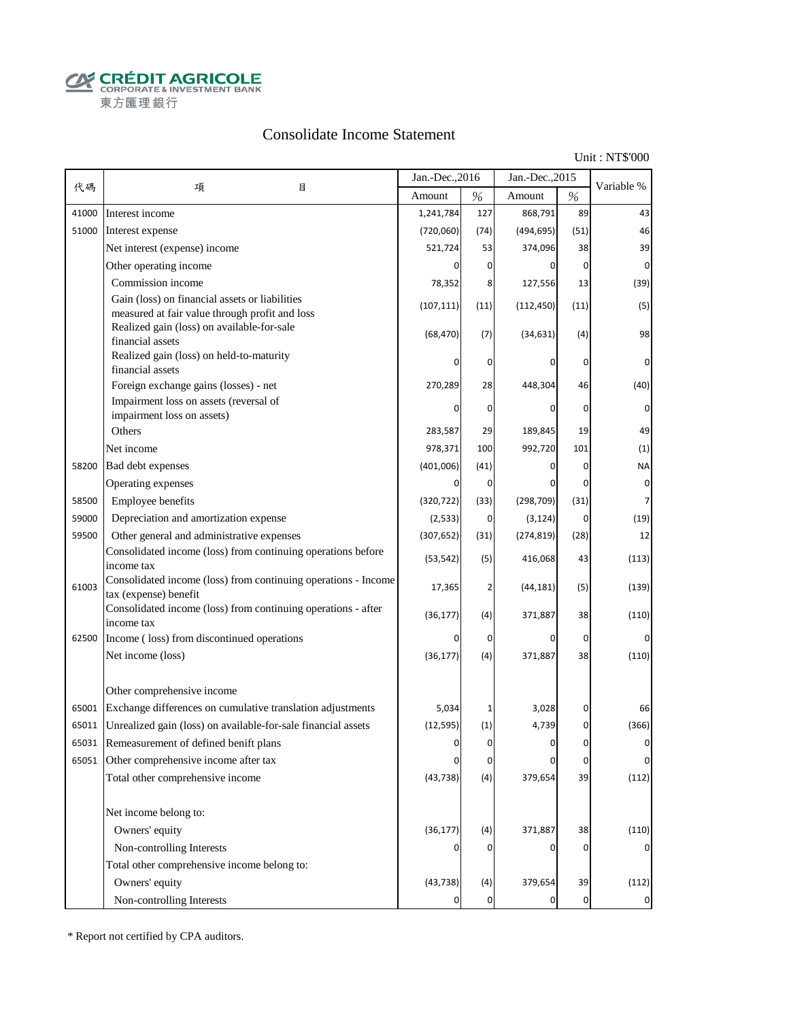**CALCOUT AGRICOLE**<br>
CORPORATE & INVESTMENT BANK<br>
東方匯理銀行

#### Consolidate Income Statement

Unit : NT\$'000

|       |                                                                                                  | Jan.-Dec., 2016       |                | Jan.-Dec., 2015    |                | Variable %  |
|-------|--------------------------------------------------------------------------------------------------|-----------------------|----------------|--------------------|----------------|-------------|
| 代碼    | 項<br>目                                                                                           | Amount                | $\%$           | Amount             | $\%$           |             |
| 41000 | Interest income                                                                                  | 1,241,784             | 127            | 868,791            | 89             | 43          |
| 51000 | Interest expense                                                                                 | (720,060)             | (74)           | (494, 695)         | (51)           | 46          |
|       | Net interest (expense) income                                                                    | 521,724               | 53             | 374,096            | 38             | 39          |
|       | Other operating income                                                                           |                       | 0              | 0                  | $\overline{0}$ | $\mathbf 0$ |
|       | Commission income                                                                                | 78,352                | 8              | 127,556            | 13             | (39)        |
|       | Gain (loss) on financial assets or liabilities<br>measured at fair value through profit and loss | (107, 111)            | (11)           | (112, 450)         | (11)           | (5)         |
|       | Realized gain (loss) on available-for-sale<br>financial assets                                   | (68, 470)             | (7)            | (34, 631)          | (4)            | 98          |
|       | Realized gain (loss) on held-to-maturity<br>financial assets                                     |                       | 0              | 0                  | 0              | 0           |
|       | Foreign exchange gains (losses) - net                                                            | 270,289               | 28             | 448,304            | 46             | (40)        |
|       | Impairment loss on assets (reversal of                                                           | 0                     | 0              | 0                  | 0              | 0           |
|       | impairment loss on assets)<br>Others                                                             |                       |                |                    | 19             |             |
|       | Net income                                                                                       | 283,587               | 29             | 189,845<br>992,720 |                | 49          |
|       |                                                                                                  | 978,371               | 100            |                    | 101<br>0       | (1)         |
| 58200 | Bad debt expenses                                                                                | (401,006)<br>$\Omega$ | (41)           | 0                  |                | <b>NA</b>   |
|       | Operating expenses                                                                               |                       | $\mathbf 0$    | 0                  | 0              | $\pmb{0}$   |
| 58500 | Employee benefits                                                                                | (320, 722)            | (33)           | (298, 709)         | (31)           | 7           |
| 59000 | Depreciation and amortization expense                                                            | (2, 533)              | $\mathbf{0}$   | (3, 124)           | $\mathbf 0$    | (19)        |
| 59500 | Other general and administrative expenses                                                        | (307, 652)            | (31)           | (274, 819)         | (28)           | 12          |
|       | Consolidated income (loss) from continuing operations before<br>income tax                       | (53, 542)             | (5)            | 416,068            | 43             | (113)       |
| 61003 | Consolidated income (loss) from continuing operations - Income<br>tax (expense) benefit          | 17,365                | 2              | (44, 181)          | (5)            | (139)       |
|       | Consolidated income (loss) from continuing operations - after<br>income tax                      | (36, 177)             | (4)            | 371,887            | 38             | (110)       |
| 62500 | Income (loss) from discontinued operations                                                       | 0                     | $\overline{0}$ | 0                  | $\overline{0}$ | 0           |
|       | Net income (loss)                                                                                | (36, 177)             | (4)            | 371,887            | 38             | (110)       |
|       | Other comprehensive income                                                                       |                       |                |                    |                |             |
| 65001 | Exchange differences on cumulative translation adjustments                                       | 5,034                 | 1              | 3,028              | $\overline{0}$ | 66          |
| 65011 | Unrealized gain (loss) on available-for-sale financial assets                                    | (12, 595)             | (1)            | 4,739              | 0              | (366)       |
| 65031 | Remeasurement of defined benift plans                                                            | 0                     | $\overline{0}$ | 0                  | $\overline{0}$ | 0           |
|       | 65051 Other comprehensive income after tax                                                       |                       | 0              | 0                  | 0              | 0           |
|       | Total other comprehensive income                                                                 | (43, 738)             | (4)            | 379,654            | 39             | (112)       |
|       | Net income belong to:                                                                            |                       |                |                    |                |             |
|       | Owners' equity                                                                                   | (36, 177)             | (4)            | 371,887            | 38             | (110)       |
|       | Non-controlling Interests                                                                        |                       | 0              | 0                  | $\overline{0}$ |             |
|       | Total other comprehensive income belong to:                                                      |                       |                |                    |                |             |
|       | Owners' equity                                                                                   | (43, 738)             | (4)            | 379,654            | 39             | (112)       |
|       | Non-controlling Interests                                                                        |                       | 0              |                    | $\overline{0}$ |             |

\* Report not certified by CPA auditors.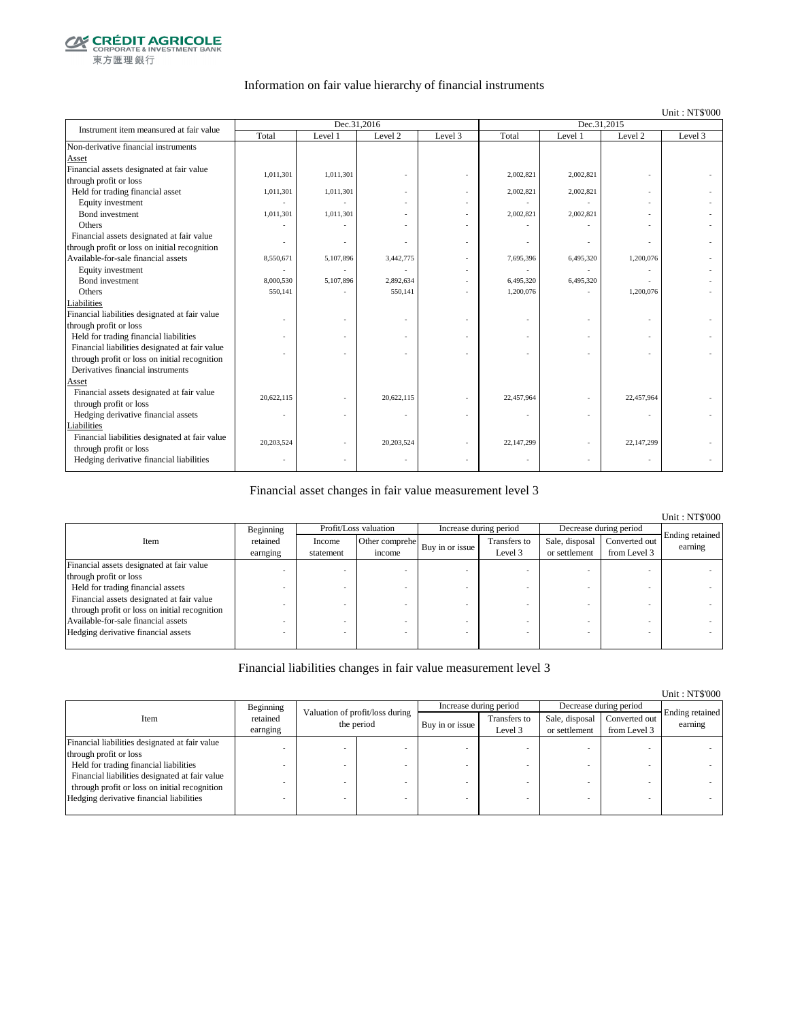

#### Information on fair value hierarchy of financial instruments

#### Unit : NT\$'000

| Instrument item meansured at fair value        |                          | Dec.31,2016 |            |         | Dec.31,2015 |           |                          |         |
|------------------------------------------------|--------------------------|-------------|------------|---------|-------------|-----------|--------------------------|---------|
|                                                | Total                    | Level 1     | Level 2    | Level 3 | Total       | Level 1   | Level 2                  | Level 3 |
| Non-derivative financial instruments           |                          |             |            |         |             |           |                          |         |
| Asset                                          |                          |             |            |         |             |           |                          |         |
| Financial assets designated at fair value      | 1,011,301                | 1,011,301   |            |         | 2,002,821   | 2,002,821 |                          |         |
| through profit or loss                         |                          |             |            |         |             |           |                          |         |
| Held for trading financial asset               | 1,011,301                | 1,011,301   |            |         | 2,002,821   | 2,002,821 |                          |         |
| Equity investment                              |                          |             |            |         |             |           |                          |         |
| <b>Bond</b> investment                         | 1,011,301                | 1,011,301   |            |         | 2,002,821   | 2,002,821 |                          |         |
| Others                                         |                          |             |            |         |             |           |                          |         |
| Financial assets designated at fair value      |                          |             |            |         |             |           |                          |         |
| through profit or loss on initial recognition  |                          |             |            |         |             |           |                          |         |
| Available-for-sale financial assets            | 8,550,671                | 5,107,896   | 3,442,775  |         | 7,695,396   | 6,495,320 | 1,200,076                |         |
| Equity investment                              |                          |             |            |         |             |           |                          |         |
| Bond investment                                | 8,000,530                | 5,107,896   | 2,892,634  |         | 6,495,320   | 6,495,320 |                          |         |
| Others                                         | 550,141                  |             | 550,141    |         | 1,200,076   |           | 1,200,076                |         |
| Liabilities                                    |                          |             |            |         |             |           |                          |         |
| Financial liabilities designated at fair value |                          |             |            |         |             |           |                          |         |
| through profit or loss                         |                          |             |            |         |             |           |                          |         |
| Held for trading financial liabilities         |                          |             |            |         |             |           |                          |         |
| Financial liabilities designated at fair value |                          |             |            |         |             |           |                          |         |
| through profit or loss on initial recognition  |                          |             |            |         |             |           |                          |         |
| Derivatives financial instruments              |                          |             |            |         |             |           |                          |         |
| Asset                                          |                          |             |            |         |             |           |                          |         |
| Financial assets designated at fair value      | 20,622,115               |             | 20,622,115 |         | 22,457,964  |           | 22,457,964               |         |
| through profit or loss                         |                          |             |            |         |             |           |                          |         |
| Hedging derivative financial assets            | $\overline{\phantom{m}}$ |             |            | ٠       |             |           | $\overline{\phantom{a}}$ |         |
| Liabilities                                    |                          |             |            |         |             |           |                          |         |
| Financial liabilities designated at fair value | 20.203.524               |             | 20,203,524 |         | 22,147,299  |           | 22,147,299               |         |
| through profit or loss                         |                          |             |            |         |             |           |                          |         |
| Hedging derivative financial liabilities       |                          |             |            |         |             |           |                          |         |

#### Financial asset changes in fair value measurement level 3

|                                               |           |           |                       |                        |              |                        |               | <b>Unit: NT\$'000</b> |
|-----------------------------------------------|-----------|-----------|-----------------------|------------------------|--------------|------------------------|---------------|-----------------------|
|                                               | Beginning |           | Profit/Loss valuation | Increase during period |              | Decrease during period |               |                       |
| Item                                          | retained  | Income    | Other comprehe        |                        | Transfers to | Sale, disposal         | Converted out | Ending retained       |
|                                               | earnging  | statement | income                | Buy in or issue        | Level 3      | or settlement          | from Level 3  | earning               |
| Financial assets designated at fair value     |           |           |                       |                        |              |                        |               |                       |
| through profit or loss                        |           |           |                       |                        |              |                        |               |                       |
| Held for trading financial assets             |           |           |                       |                        |              |                        |               |                       |
| Financial assets designated at fair value     |           |           |                       |                        |              |                        |               |                       |
| through profit or loss on initial recognition |           |           |                       |                        |              |                        |               |                       |
| Available-for-sale financial assets           |           |           |                       |                        |              |                        |               |                       |
| Hedging derivative financial assets           |           |           |                       |                        |              |                        |               |                       |
|                                               |           |           |                       |                        |              |                        |               |                       |

#### Financial liabilities changes in fair value measurement level 3

|                                                |                      |   |                                               |                 |                         |                                 |                               | Unit: NT\$'000             |
|------------------------------------------------|----------------------|---|-----------------------------------------------|-----------------|-------------------------|---------------------------------|-------------------------------|----------------------------|
|                                                | Beginning            |   |                                               |                 | Increase during period  |                                 | Decrease during period        |                            |
| Item                                           | retained<br>earnging |   | Valuation of profit/loss during<br>the period | Buy in or issue | Transfers to<br>Level 3 | Sale, disposal<br>or settlement | Converted out<br>from Level 3 | Ending retained<br>earning |
| Financial liabilities designated at fair value |                      |   |                                               |                 |                         |                                 |                               |                            |
| through profit or loss                         |                      |   |                                               |                 |                         |                                 |                               |                            |
| Held for trading financial liabilities         |                      |   |                                               |                 |                         |                                 |                               |                            |
| Financial liabilities designated at fair value |                      |   |                                               |                 |                         |                                 |                               |                            |
| through profit or loss on initial recognition  |                      |   |                                               |                 |                         |                                 |                               |                            |
| Hedging derivative financial liabilities       |                      | ۰ |                                               |                 |                         | <b>.</b>                        |                               |                            |
|                                                |                      |   |                                               |                 |                         |                                 |                               |                            |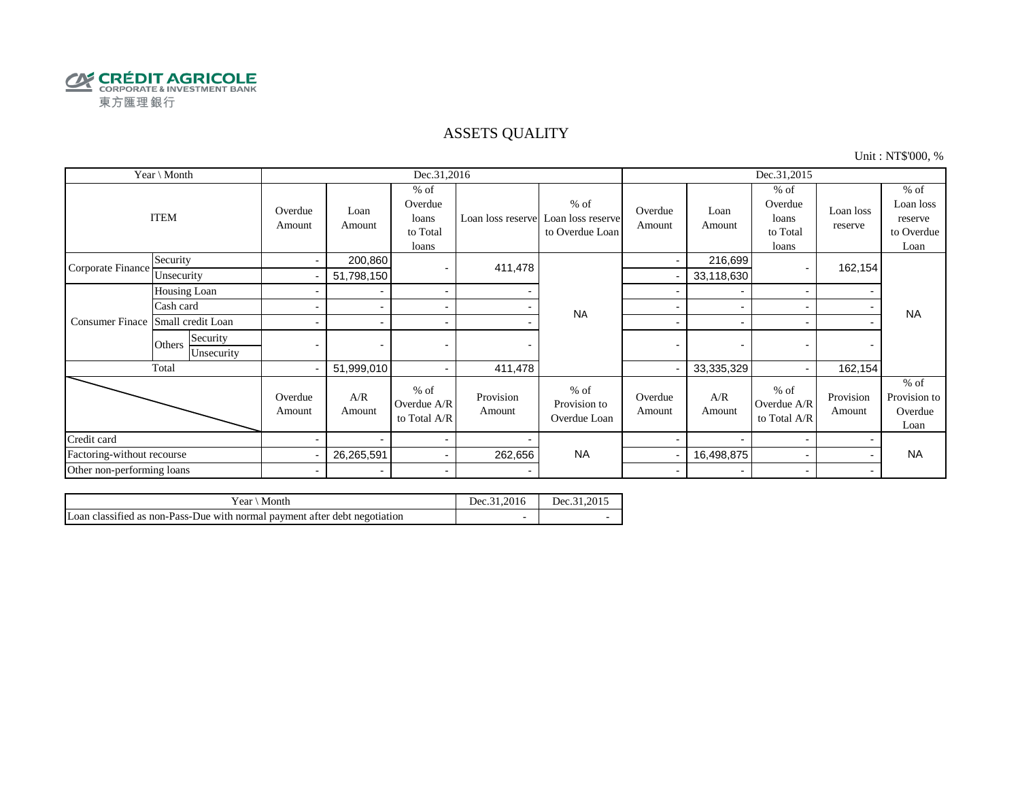

#### ASSETS QUALITY

Unit : NT\$'000, %

| Year \ Month               |                                  | Dec.31,2016       |                          |                                                 |                     |                                                                  |                          | Dec.31,2015              |                                                 |                      |                                                      |  |
|----------------------------|----------------------------------|-------------------|--------------------------|-------------------------------------------------|---------------------|------------------------------------------------------------------|--------------------------|--------------------------|-------------------------------------------------|----------------------|------------------------------------------------------|--|
|                            | <b>ITEM</b>                      | Overdue<br>Amount | Loan<br>Amount           | $%$ of<br>Overdue<br>loans<br>to Total<br>loans |                     | $%$ of<br>Loan loss reserve Loan loss reserve<br>to Overdue Loan | Overdue<br>Amount        | Loan<br>Amount           | $%$ of<br>Overdue<br>loans<br>to Total<br>loans | Loan loss<br>reserve | $%$ of<br>Loan loss<br>reserve<br>to Overdue<br>Loan |  |
| Corporate Finance          | Security                         | $\sim$            | 200,860                  |                                                 | 411,478             |                                                                  | $\blacksquare$           | 216,699                  |                                                 | 162,154              |                                                      |  |
|                            | Unsecurity                       |                   | 51,798,150               |                                                 |                     | <b>NA</b>                                                        |                          | 33,118,630               |                                                 |                      |                                                      |  |
|                            | Housing Loan                     |                   |                          | $\sim$                                          |                     |                                                                  |                          | $\overline{\phantom{a}}$ |                                                 |                      |                                                      |  |
|                            | Cash card                        |                   |                          | $\overline{\phantom{a}}$                        |                     |                                                                  |                          |                          |                                                 |                      | <b>NA</b>                                            |  |
| <b>Consumer Finace</b>     | Small credit Loan                |                   |                          | $\sim$                                          |                     |                                                                  | $\overline{\phantom{0}}$ | $\overline{\phantom{0}}$ |                                                 |                      |                                                      |  |
|                            | Security<br>Others<br>Unsecurity |                   |                          |                                                 |                     |                                                                  | $\overline{\phantom{0}}$ | $\overline{\phantom{0}}$ |                                                 |                      |                                                      |  |
|                            | Total                            | ۰.                | 51,999,010               | $\sim$                                          | 411,478             |                                                                  |                          | 33,335,329               |                                                 | 162,154              |                                                      |  |
|                            |                                  | Overdue<br>Amount | A/R<br>Amount            | $%$ of<br>Overdue A/R<br>to Total A/R           | Provision<br>Amount | $%$ of<br>Provision to<br>Overdue Loan                           | Overdue<br>Amount        | A/R<br>Amount            | $%$ of<br>Overdue A/R<br>to Total A/R           | Provision<br>Amount  | $%$ of<br>Provision to<br>Overdue<br>Loan            |  |
| Credit card                |                                  |                   |                          | $\blacksquare$                                  |                     |                                                                  |                          |                          |                                                 |                      |                                                      |  |
| Factoring-without recourse |                                  |                   | 26,265,591               | $\sim$                                          | 262,656             | <b>NA</b>                                                        |                          | 16,498,875               |                                                 |                      | <b>NA</b>                                            |  |
| Other non-performing loans |                                  | $\blacksquare$    | $\overline{\phantom{0}}$ | $\blacksquare$                                  |                     |                                                                  | $\overline{\phantom{a}}$ | $\overline{\phantom{0}}$ | $\overline{\phantom{0}}$                        |                      |                                                      |  |

| $Year \setminus Month$                                                     | Dec.31.2016 | Dec.31.2015 |
|----------------------------------------------------------------------------|-------------|-------------|
| Loan classified as non-Pass-Due with normal payment after debt negotiation |             |             |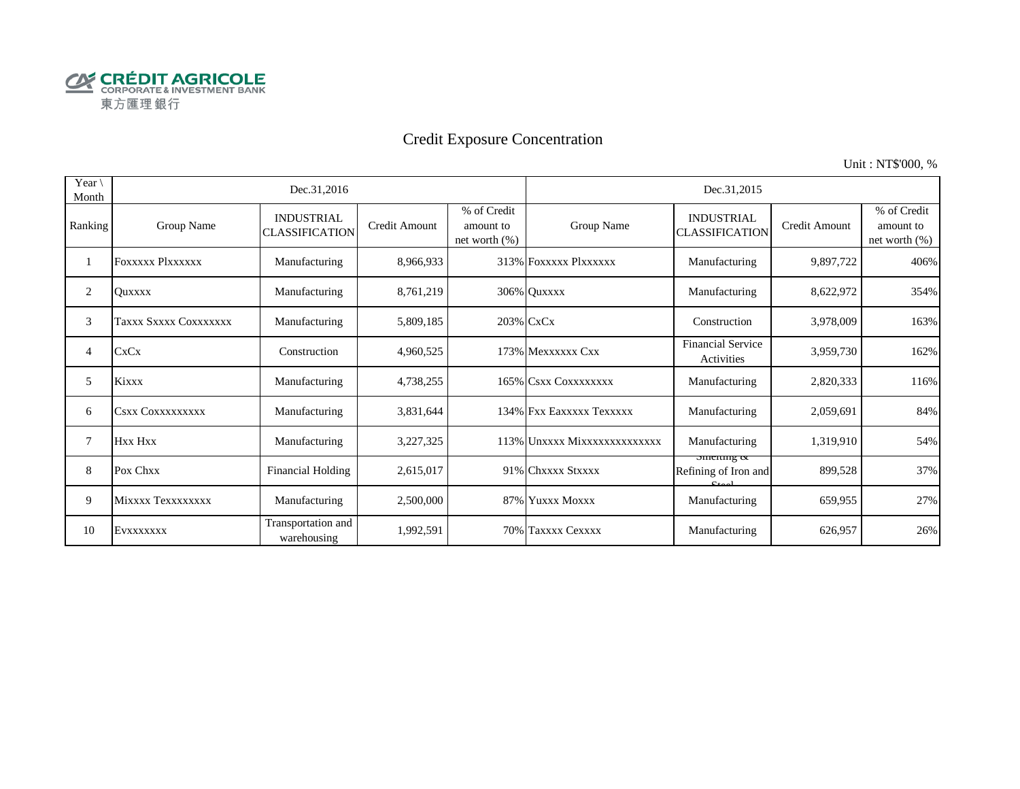

# Credit Exposure Concentration

Unit : NT\$'000, %

| Year $\setminus$<br>Month |                         | Dec.31,2016                                |                      |                                              | Dec.31,2015                  |                                                      |               |                                              |  |  |
|---------------------------|-------------------------|--------------------------------------------|----------------------|----------------------------------------------|------------------------------|------------------------------------------------------|---------------|----------------------------------------------|--|--|
| Ranking                   | Group Name              | <b>INDUSTRIAL</b><br><b>CLASSIFICATION</b> | <b>Credit Amount</b> | % of Credit<br>amount to<br>net worth $(\%)$ | Group Name                   | <b>INDUSTRIAL</b><br><b>CLASSIFICATION</b>           | Credit Amount | % of Credit<br>amount to<br>net worth $(\%)$ |  |  |
|                           | <b>FOXXXXX PIXXXXXX</b> | Manufacturing                              | 8,966,933            |                                              | 313% FOXXXXX PlXXXXXX        | Manufacturing                                        | 9,897,722     | 406%                                         |  |  |
| 2                         | <b>Ouxxxx</b>           | Manufacturing                              | 8,761,219            |                                              | 306% Quxxxx                  | Manufacturing                                        | 8,622,972     | 354%                                         |  |  |
| 3                         | Taxxx Sxxxx Coxxxxxxx   | Manufacturing                              | 5,809,185            |                                              | 203% CxCx                    | Construction                                         | 3,978,009     | 163%                                         |  |  |
| 4                         | <b>CxCx</b>             | Construction                               | 4,960,525            |                                              | 173% Mexxxxxx Cxx            | <b>Financial Service</b><br>Activities               | 3,959,730     | 162%                                         |  |  |
| 5                         | Kixxx                   | Manufacturing                              | 4,738,255            |                                              | 165% CSXX COXXXXXXX          | Manufacturing                                        | 2,820,333     | 116%                                         |  |  |
| 6                         | CSXX COXXXXXXXXX        | Manufacturing                              | 3,831,644            |                                              | 134% Fxx Eaxxxxx Texxxxx     | Manufacturing                                        | 2,059,691     | 84%                                          |  |  |
| 7                         | Hxx Hxx                 | Manufacturing                              | 3,227,325            |                                              | 113% Unxxxx Mixxxxxxxxxxxxxx | Manufacturing                                        | 1,319,910     | 54%                                          |  |  |
| 8                         | Pox Chxx                | <b>Financial Holding</b>                   | 2,615,017            |                                              | 91% Chxxxx Stxxxx            | $\frac{3}{2}$<br>Refining of Iron and<br>$C_{total}$ | 899,528       | 37%                                          |  |  |
| 9                         | Mixxxx Texxxxxxxx       | Manufacturing                              | 2,500,000            |                                              | 87% Yuxxx Moxxx              | Manufacturing                                        | 659,955       | 27%                                          |  |  |
| 10                        | EVXXXXXXX               | Transportation and<br>warehousing          | 1,992,591            |                                              | 70% Taxxxx Cexxxx            | Manufacturing                                        | 626,957       | 26%                                          |  |  |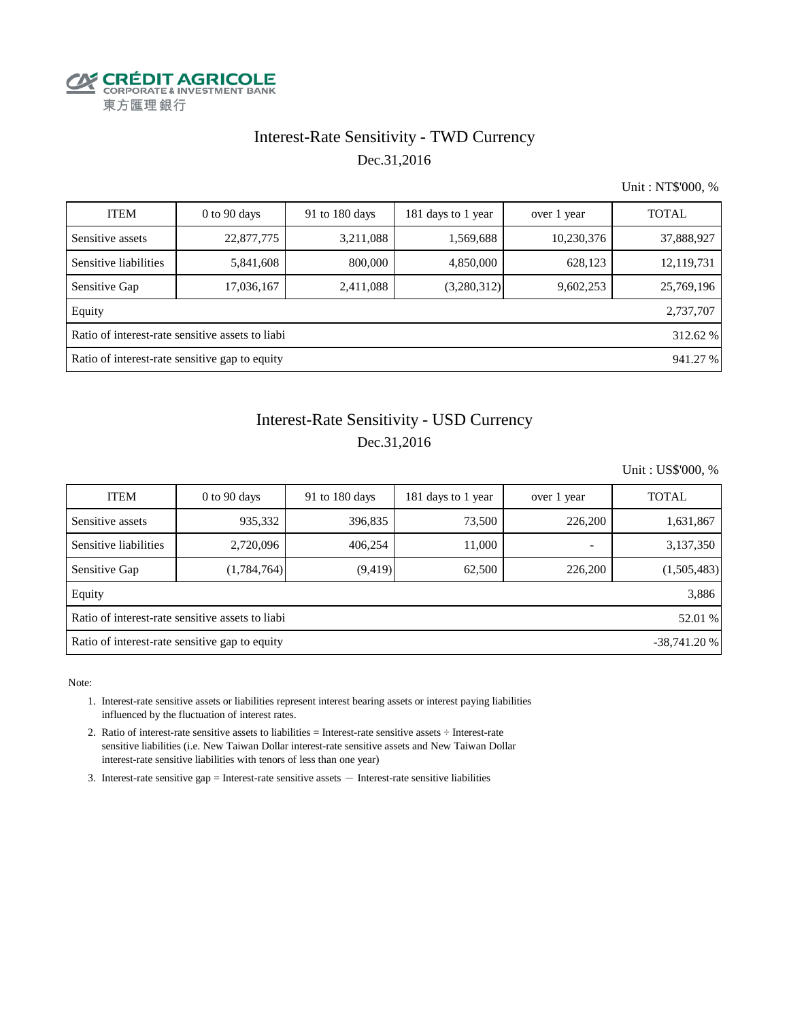

### Interest-Rate Sensitivity - TWD Currency Dec.31,2016

Unit : NT\$'000, %

| <b>ITEM</b>                                                  | $0$ to $90$ days | 91 to 180 days | 181 days to 1 year | over 1 year | <b>TOTAL</b> |  |  |  |
|--------------------------------------------------------------|------------------|----------------|--------------------|-------------|--------------|--|--|--|
| Sensitive assets                                             | 22,877,775       | 3,211,088      | 1,569,688          | 10,230,376  | 37,888,927   |  |  |  |
| Sensitive liabilities                                        | 5,841,608        | 800,000        | 4,850,000          | 628,123     | 12,119,731   |  |  |  |
| Sensitive Gap                                                | 17,036,167       | 2,411,088      | (3,280,312)        | 9,602,253   | 25,769,196   |  |  |  |
| Equity                                                       |                  |                |                    |             | 2,737,707    |  |  |  |
| Ratio of interest-rate sensitive assets to liabi<br>312.62 % |                  |                |                    |             |              |  |  |  |
| Ratio of interest-rate sensitive gap to equity<br>941.27 %   |                  |                |                    |             |              |  |  |  |

## Dec.31,2016 Interest-Rate Sensitivity - USD Currency

Unit : US\$'000, %

| <b>ITEM</b>                                                     | $0$ to 90 days | 91 to 180 days | 181 days to 1 year | over 1 year              | <b>TOTAL</b> |  |  |  |
|-----------------------------------------------------------------|----------------|----------------|--------------------|--------------------------|--------------|--|--|--|
| Sensitive assets                                                | 935,332        | 396,835        | 73,500             | 226,200                  | 1,631,867    |  |  |  |
| Sensitive liabilities                                           | 2,720,096      | 406,254        | 11,000             | $\overline{\phantom{0}}$ | 3,137,350    |  |  |  |
| Sensitive Gap                                                   | (1,784,764)    | (9, 419)       | 62,500             | 226,200                  | (1,505,483)  |  |  |  |
| Equity                                                          |                |                |                    |                          | 3,886        |  |  |  |
| Ratio of interest-rate sensitive assets to liabi<br>52.01 %     |                |                |                    |                          |              |  |  |  |
| Ratio of interest-rate sensitive gap to equity<br>$-38,741.20%$ |                |                |                    |                          |              |  |  |  |

Note:

- 1. Interest-rate sensitive assets or liabilities represent interest bearing assets or interest paying liabilities influenced by the fluctuation of interest rates.
- 2. Ratio of interest-rate sensitive assets to liabilities = Interest-rate sensitive assets ÷ Interest-rate sensitive liabilities (i.e. New Taiwan Dollar interest-rate sensitive assets and New Taiwan Dollar interest-rate sensitive liabilities with tenors of less than one year)
- 3. Interest-rate sensitive gap = Interest-rate sensitive assets  $-$  Interest-rate sensitive liabilities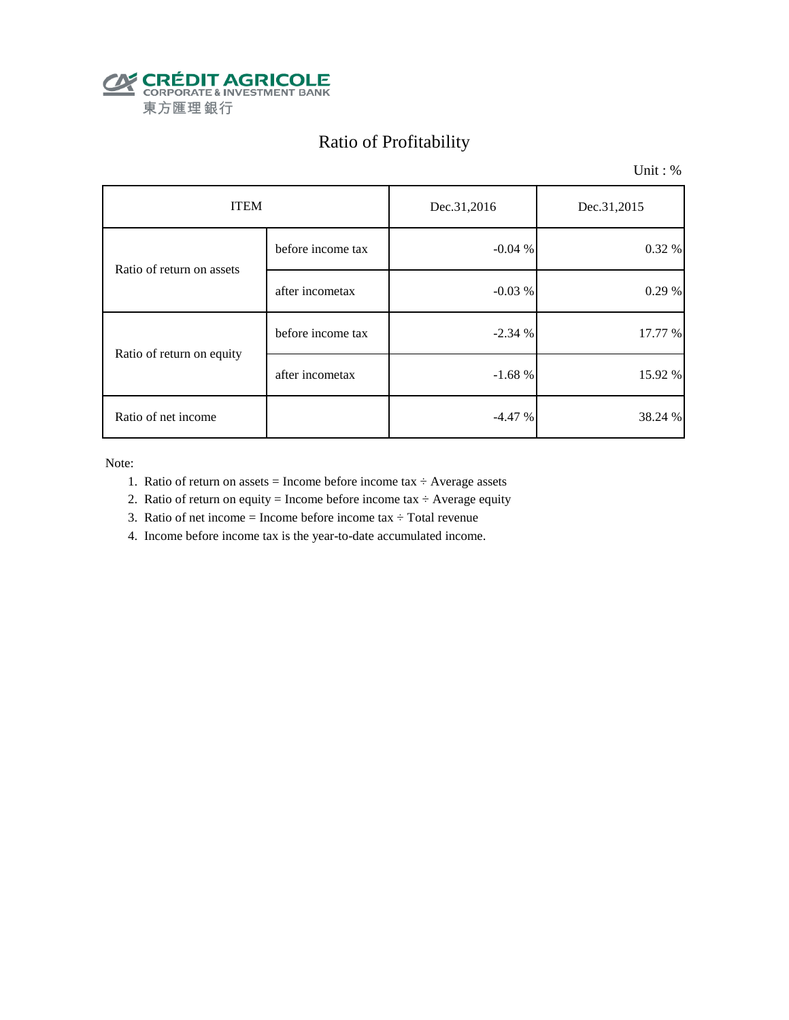

# Ratio of Profitability

Unit : %

| <b>ITEM</b>               |                   | Dec.31,2016 | Dec.31,2015 |  |
|---------------------------|-------------------|-------------|-------------|--|
| Ratio of return on assets | before income tax | $-0.04%$    | 0.32 %      |  |
|                           | after incometax   | $-0.03%$    | 0.29%       |  |
| Ratio of return on equity | before income tax | $-2.34%$    | 17.77 %     |  |
|                           | after incometax   | $-1.68%$    | 15.92 %     |  |
| Ratio of net income       |                   | $-4.47%$    | 38.24 %     |  |

Note:

- 1. Ratio of return on assets = Income before income tax  $\div$  Average assets
- 2. Ratio of return on equity = Income before income tax  $\div$  Average equity
- 3. Ratio of net income = Income before income tax  $\div$  Total revenue
- 4. Income before income tax is the year-to-date accumulated income.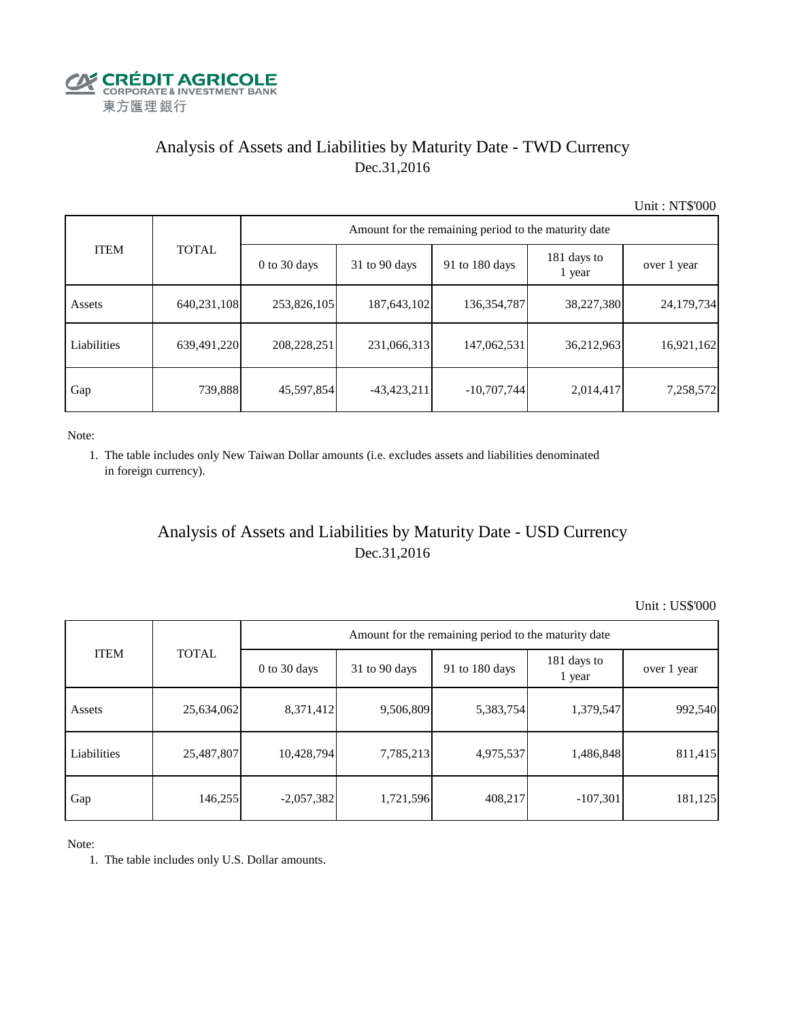

## Analysis of Assets and Liabilities by Maturity Date - TWD Currency Dec.31,2016

Unit : NT\$'000

| <b>ITEM</b> | <b>TOTAL</b> | Amount for the remaining period to the maturity date |                 |                |                       |             |  |  |
|-------------|--------------|------------------------------------------------------|-----------------|----------------|-----------------------|-------------|--|--|
|             |              | $0$ to 30 days                                       | $31$ to 90 days | 91 to 180 days | 181 days to<br>1 year | over 1 year |  |  |
| Assets      | 640,231,108  | 253,826,105                                          | 187,643,102     | 136, 354, 787  | 38,227,380            | 24,179,734  |  |  |
| Liabilities | 639,491,220  | 208,228,251                                          | 231,066,313     | 147,062,531    | 36,212,963            | 16,921,162  |  |  |
| Gap         | 739,888      | 45,597,854                                           | $-43,423,211$   | $-10,707,744$  | 2,014,417             | 7,258,572   |  |  |

Note:

 1. The table includes only New Taiwan Dollar amounts (i.e. excludes assets and liabilities denominated in foreign currency).

## Analysis of Assets and Liabilities by Maturity Date - USD Currency Dec.31,2016

Unit : US\$'000

|             | <b>TOTAL</b> | Amount for the remaining period to the maturity date |                 |                |                       |             |  |  |
|-------------|--------------|------------------------------------------------------|-----------------|----------------|-----------------------|-------------|--|--|
| <b>ITEM</b> |              | $0$ to 30 days                                       | $31$ to 90 days | 91 to 180 days | 181 days to<br>1 year | over 1 year |  |  |
| Assets      | 25,634,062   | 8,371,412                                            | 9,506,809       | 5,383,754      | 1,379,547             | 992,540     |  |  |
| Liabilities | 25,487,807   | 10,428,794                                           | 7,785,213       | 4,975,537      | 1,486,848             | 811,415     |  |  |
| Gap         | 146,255      | $-2,057,382$                                         | 1,721,596       | 408,217        | $-107,301$            | 181,125     |  |  |

Note:

1. The table includes only U.S. Dollar amounts.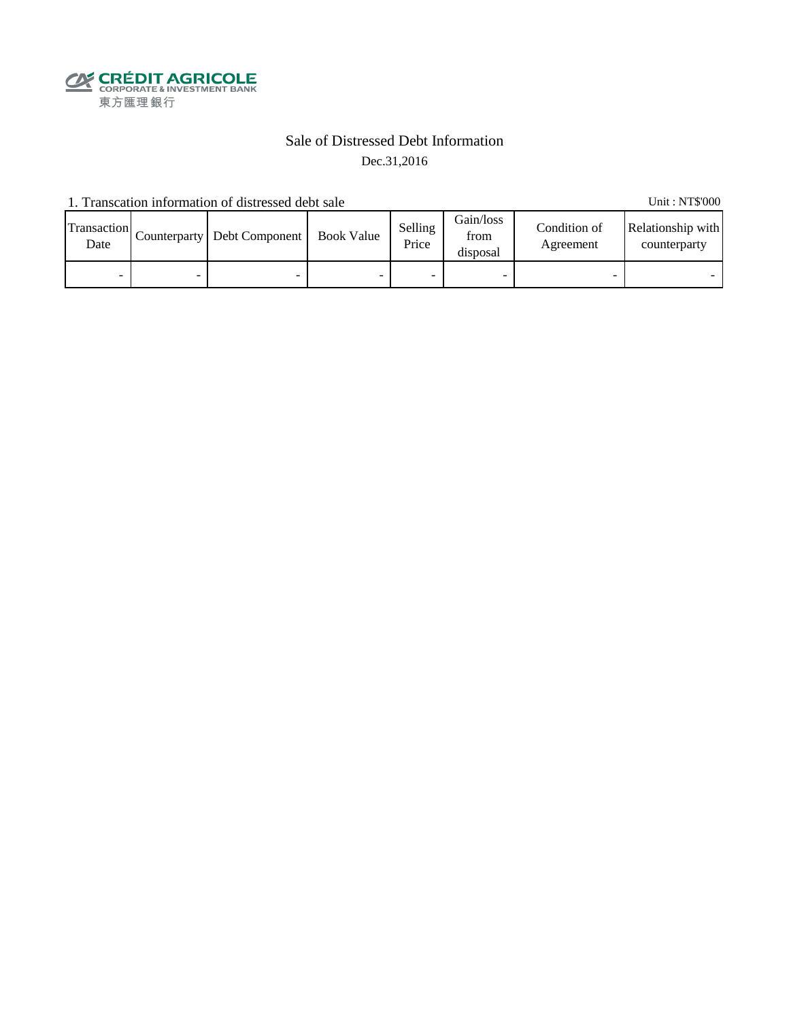

#### Sale of Distressed Debt Information Dec.31,2016

1. Transcation information of distressed debt sale Unit: NT\$'000

Transaction  $\frac{\text{D}}{\text{Date}}$  Counterparty Debt Component Book Value Selling Price Gain/loss from disposal Condition of Agreement Relationship with counterparty - - - - - - - -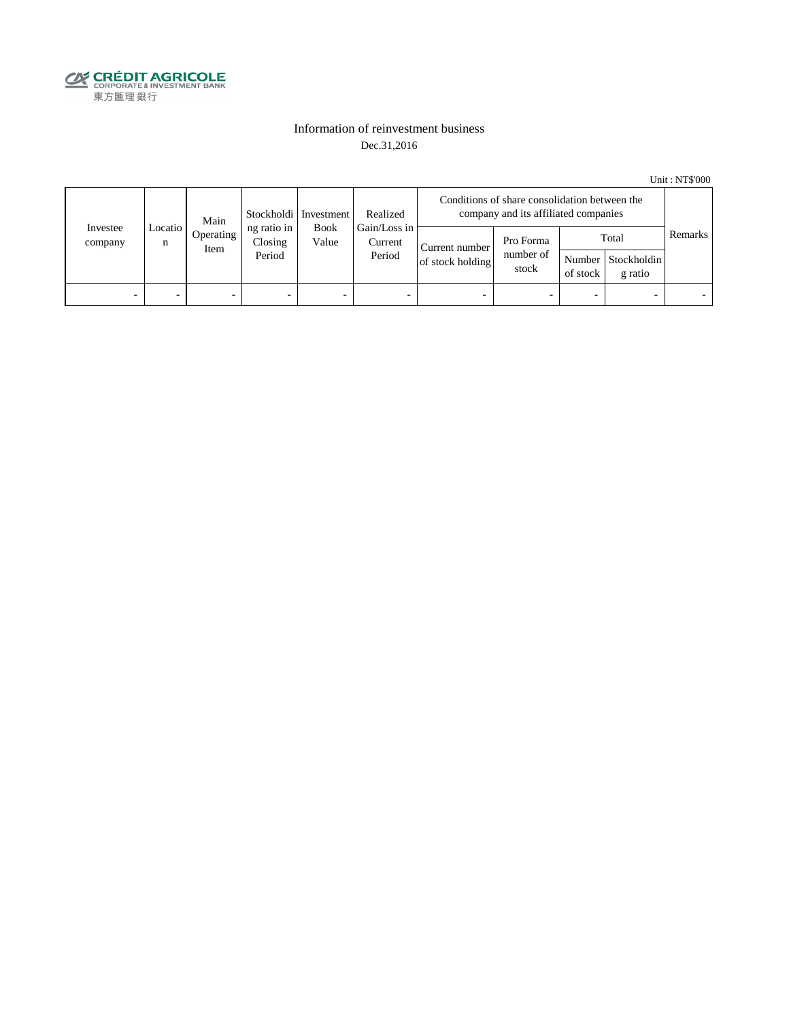

#### Information of reinvestment business Dec.31,2016

Unit : NT\$'000

| Investee<br>company | Main<br>Locatio<br>n<br>Item |           | Stockholdi   Investment          | Realized             | Conditions of share consolidation between the<br>company and its affiliated companies |                                    |                                 |          |                                        |         |
|---------------------|------------------------------|-----------|----------------------------------|----------------------|---------------------------------------------------------------------------------------|------------------------------------|---------------------------------|----------|----------------------------------------|---------|
|                     |                              | Operating | ng ratio in<br>Closing<br>Period | <b>Book</b><br>Value | Gain/Loss in<br>Current<br>Period                                                     | Current number<br>of stock holding | Pro Forma<br>number of<br>stock | of stock | Total<br>Number Stockholdin<br>g ratio | Remarks |
| -                   |                              | -         |                                  | -                    | $\overline{\phantom{a}}$                                                              |                                    |                                 | -        |                                        |         |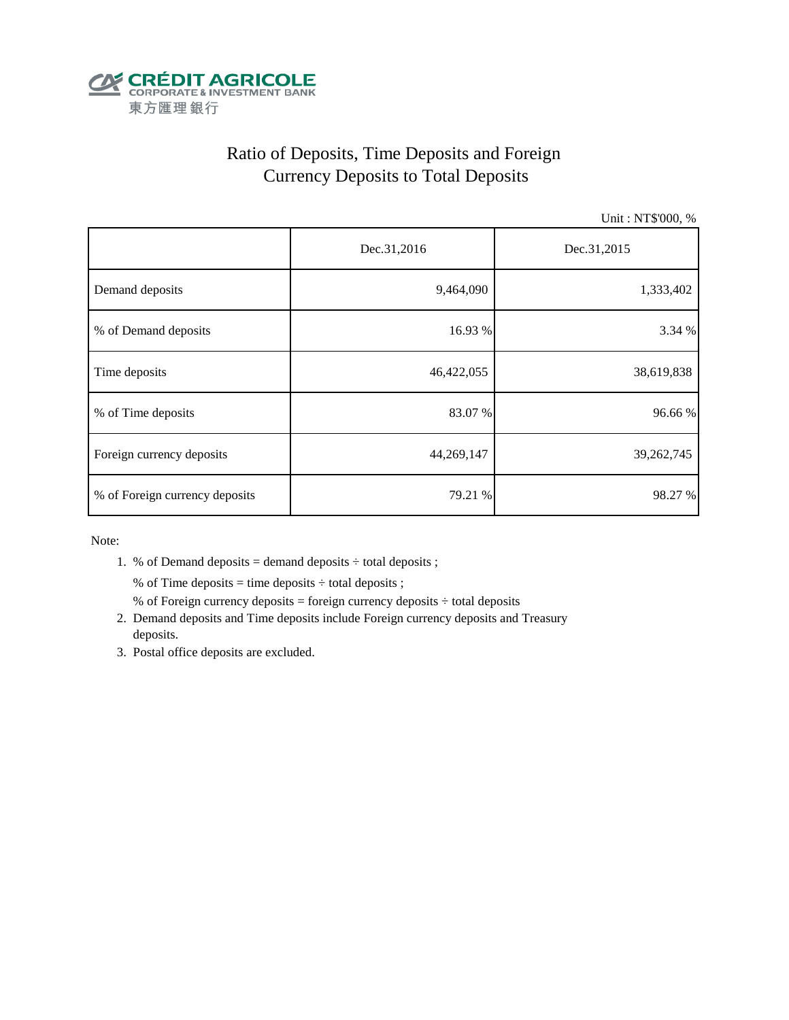

# Ratio of Deposits, Time Deposits and Foreign Currency Deposits to Total Deposits

Unit : NT\$'000, %

|                                | Dec.31,2016 | Dec.31,2015 |  |  |
|--------------------------------|-------------|-------------|--|--|
| Demand deposits                | 9,464,090   | 1,333,402   |  |  |
| % of Demand deposits           | 16.93 %     | 3.34 %      |  |  |
| Time deposits                  | 46,422,055  | 38,619,838  |  |  |
| % of Time deposits             | 83.07 %     | 96.66%      |  |  |
| Foreign currency deposits      | 44,269,147  | 39,262,745  |  |  |
| % of Foreign currency deposits | 79.21 %     | 98.27 %     |  |  |

Note:

1. % of Demand deposits = demand deposits  $\div$  total deposits ;

% of Time deposits = time deposits  $\div$  total deposits ;

- % of Foreign currency deposits = foreign currency deposits  $\div$  total deposits
- 2. Demand deposits and Time deposits include Foreign currency deposits and Treasury deposits.
- 3. Postal office deposits are excluded.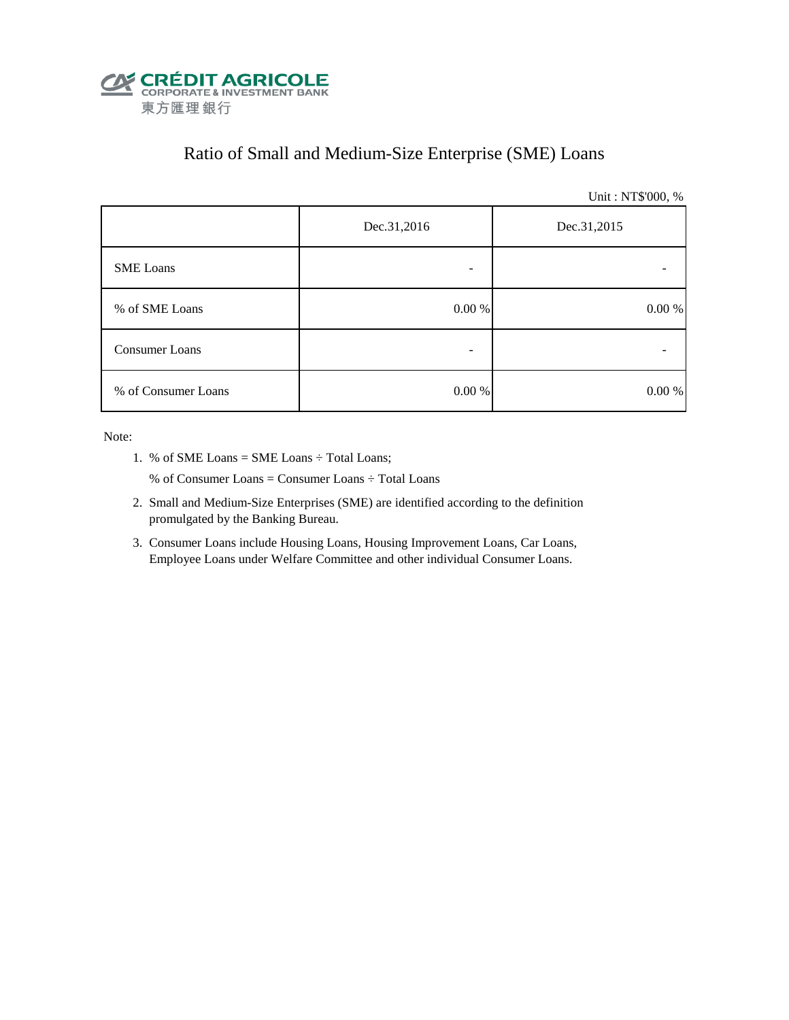

## Ratio of Small and Medium-Size Enterprise (SME) Loans

Unit : NT\$'000, %

|                     | Dec.31,2016 | Dec.31,2015 |  |  |
|---------------------|-------------|-------------|--|--|
| <b>SME</b> Loans    | -           |             |  |  |
| % of SME Loans      | $0.00\ \%$  | $0.00\ \%$  |  |  |
| Consumer Loans      | -           |             |  |  |
| % of Consumer Loans | $0.00\ \%$  | 0.00 %      |  |  |

Note:

1. % of SME Loans = SME Loans ÷ Total Loans;

% of Consumer Loans = Consumer Loans ÷ Total Loans

- 2. Small and Medium-Size Enterprises (SME) are identified according to the definition promulgated by the Banking Bureau.
- 3. Consumer Loans include Housing Loans, Housing Improvement Loans, Car Loans, Employee Loans under Welfare Committee and other individual Consumer Loans.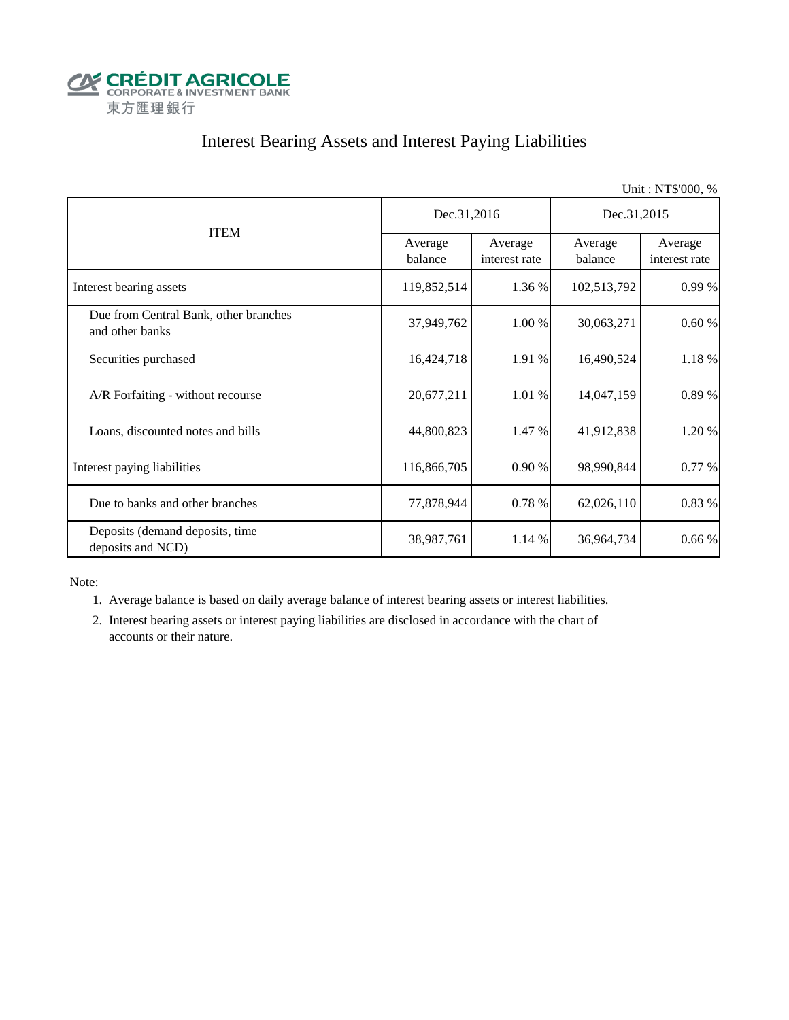

## Interest Bearing Assets and Interest Paying Liabilities

|                                                          |                    |                          |                    | Unit: NT\$'000, %        |  |
|----------------------------------------------------------|--------------------|--------------------------|--------------------|--------------------------|--|
|                                                          | Dec.31,2016        |                          | Dec.31,2015        |                          |  |
| <b>ITEM</b>                                              | Average<br>balance | Average<br>interest rate | Average<br>balance | Average<br>interest rate |  |
| Interest bearing assets                                  | 119,852,514        | 1.36 %                   | 102,513,792        | 0.99 %                   |  |
| Due from Central Bank, other branches<br>and other banks | 37,949,762         | 1.00 %                   | 30,063,271         | 0.60%                    |  |
| Securities purchased                                     | 16,424,718         | 1.91 %                   | 16,490,524         | 1.18 %                   |  |
| A/R Forfaiting - without recourse                        | 20,677,211         | 1.01%                    | 14,047,159         | 0.89 %                   |  |
| Loans, discounted notes and bills                        | 44,800,823         | 1.47 %                   | 41,912,838         | 1.20 %                   |  |
| Interest paying liabilities                              | 116,866,705        | 0.90%                    | 98,990,844         | 0.77 %                   |  |
| Due to banks and other branches                          | 77,878,944         | 0.78 %                   | 62,026,110         | 0.83 %                   |  |
| Deposits (demand deposits, time<br>deposits and NCD)     | 38,987,761         | 1.14 %                   | 36,964,734         | 0.66%                    |  |

Note:

1. Average balance is based on daily average balance of interest bearing assets or interest liabilities.

 2. Interest bearing assets or interest paying liabilities are disclosed in accordance with the chart of accounts or their nature.